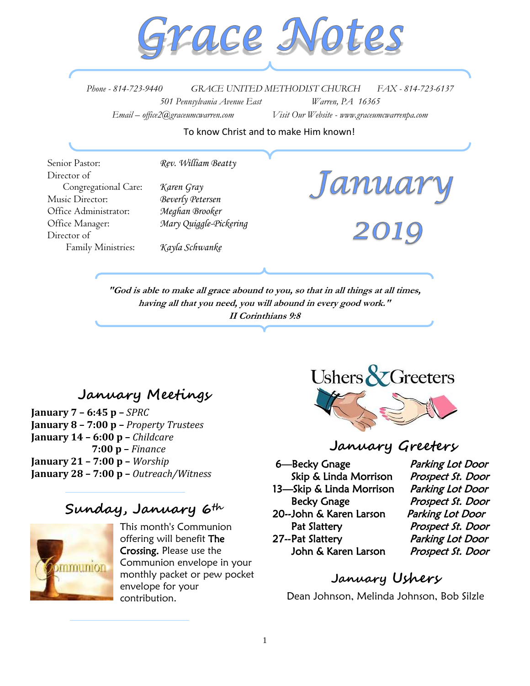

*Phone - 814-723-9440 GRACE UNITED METHODIST CHURCH FAX - 814-723-6137 501 Pennsylvania Avenue East Warren, PA 16365 Email – office2@graceumcwarren.com Visit Our Website - www.graceumcwarrenpa.com* 

To know Christ and to make Him known!

Senior Pastor: *Rev. William Beatty* Director of Congregational Care: *Karen Gray* Music Director: *Beverly Petersen* Office Administrator: *Meghan Brooker* Office Manager: *Mary Quiggle-Pickering* Director of Family Ministries: *Kayla Schwanke*

**"God is able to make all grace abound to you, so that in all things at all times, having all that you need, you will abound in every good work." II Corinthians 9:8**

# **January Meetings**

**January 7 – 6:45 p –** *SPRC*  **January 8 – 7:00 p –** *Property Trustees* **January 14 – 6:00 p –** *Childcare*   **7:00 p –** *Finance*  **January 21 – 7:00 p –** *Worship* **January 28 – 7:00 p –** *Outreach/Witness*

# **Sunday, January 6th**



This month's Communion offering will benefit The Crossing. Please use the Communion envelope in your monthly packet or pew pocket envelope for your contribution.



Janua

## **January Greeters**

6—Becky Gnage Parking Lot Door Skip & Linda Morrison Prospect St. Door 13—Skip & Linda Morrison Parking Lot Door Becky Gnage Prospect St. Door 20-- John & Karen Larson Parking Lot Door Pat Slattery Prospect St. Door 27-- Pat Slattery Parking Lot Door John & Karen Larson Prospect St. Door

### **January Ushers**

Dean Johnson, Melinda Johnson, Bob Silzle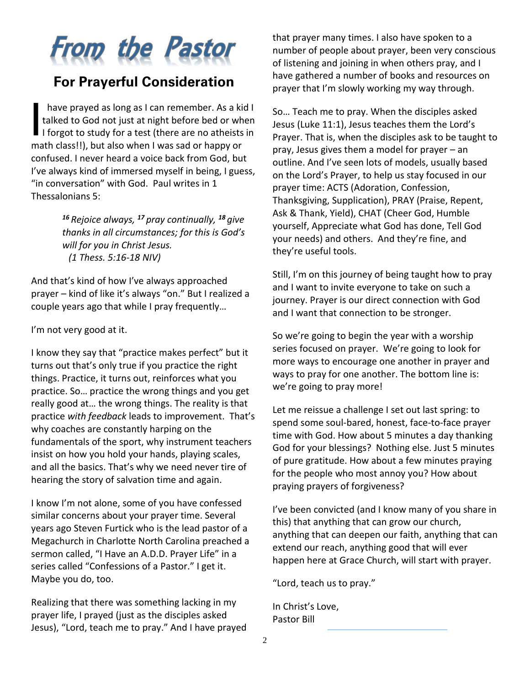

# **For Prayerful Consideration**

have prayed as long as I can remember. As a kid I talked to God not just at night before bed or when I forgot to study for a test (there are no atheists in math class!!), but also when I was sad or happy or confused. I never heard a voice back from God, but I've always kind of immersed myself in being, I guess, "in conversation" with God. Paul writes in 1 Thessalonians 5: I

> *<sup>16</sup> Rejoice always, <sup>17</sup> pray continually, <sup>18</sup> give thanks in all circumstances; for this is God's will for you in Christ Jesus. (1 Thess. 5:16-18 NIV)*

And that's kind of how I've always approached prayer – kind of like it's always "on." But I realized a couple years ago that while I pray frequently…

I'm not very good at it.

I know they say that "practice makes perfect" but it turns out that's only true if you practice the right things. Practice, it turns out, reinforces what you practice. So… practice the wrong things and you get really good at… the wrong things. The reality is that practice *with feedback* leads to improvement. That's why coaches are constantly harping on the fundamentals of the sport, why instrument teachers insist on how you hold your hands, playing scales, and all the basics. That's why we need never tire of hearing the story of salvation time and again.

I know I'm not alone, some of you have confessed similar concerns about your prayer time. Several years ago Steven Furtick who is the lead pastor of a Megachurch in Charlotte North Carolina preached a sermon called, "I Have an A.D.D. Prayer Life" in a series called "Confessions of a Pastor." I get it. Maybe you do, too.

Realizing that there was something lacking in my prayer life, I prayed (just as the disciples asked Jesus), "Lord, teach me to pray." And I have prayed that prayer many times. I also have spoken to a number of people about prayer, been very conscious of listening and joining in when others pray, and I have gathered a number of books and resources on prayer that I'm slowly working my way through.

So… Teach me to pray. When the disciples asked Jesus (Luke 11:1), Jesus teaches them the Lord's Prayer. That is, when the disciples ask to be taught to pray, Jesus gives them a model for prayer – an outline. And I've seen lots of models, usually based on the Lord's Prayer, to help us stay focused in our prayer time: ACTS (Adoration, Confession, Thanksgiving, Supplication), PRAY (Praise, Repent, Ask & Thank, Yield), CHAT (Cheer God, Humble yourself, Appreciate what God has done, Tell God your needs) and others. And they're fine, and they're useful tools.

Still, I'm on this journey of being taught how to pray and I want to invite everyone to take on such a journey. Prayer is our direct connection with God and I want that connection to be stronger.

So we're going to begin the year with a worship series focused on prayer. We're going to look for more ways to encourage one another in prayer and ways to pray for one another. The bottom line is: we're going to pray more!

Let me reissue a challenge I set out last spring: to spend some soul-bared, honest, face-to-face prayer time with God. How about 5 minutes a day thanking God for your blessings? Nothing else. Just 5 minutes of pure gratitude. How about a few minutes praying for the people who most annoy you? How about praying prayers of forgiveness?

I've been convicted (and I know many of you share in this) that anything that can grow our church, anything that can deepen our faith, anything that can extend our reach, anything good that will ever happen here at Grace Church, will start with prayer.

"Lord, teach us to pray."

In Christ's Love, Pastor Bill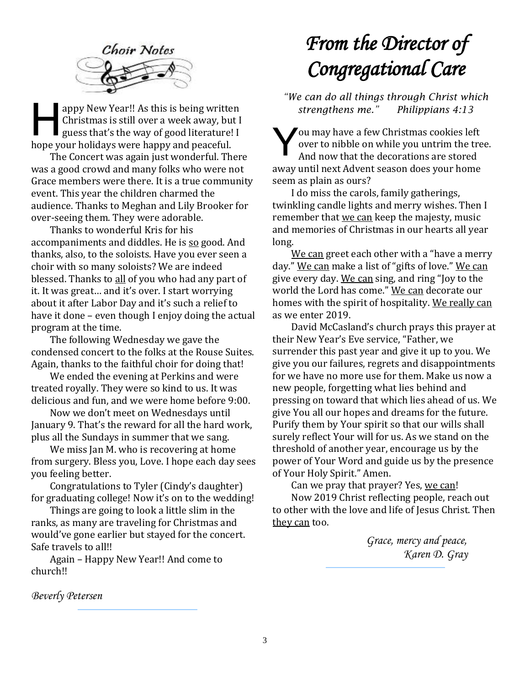

appy New Year!! As this is being written Christmas is still over a week away, but I guess that's the way of good literature! I hope your holidays were happy and peaceful. appy New Year!! As this is being written<br>Christmas is still over a week away, but I<br>guess that's the way of good literature! I<br>hope your holidays were happy and peaceful.<br>The Concert was again just wonderful. There

The Concert was again just wonderful. There was a good crowd and many folks who were not Grace members were there. It is a true community event. This year the children charmed the audience. Thanks to Meghan and Lily Brooker for over-seeing them. They were adorable.

Thanks to wonderful Kris for his accompaniments and diddles. He is so good. And thanks, also, to the soloists. Have you ever seen a choir with so many soloists? We are indeed blessed. Thanks to all of you who had any part of it. It was great… and it's over. I start worrying about it after Labor Day and it's such a relief to have it done – even though I enjoy doing the actual program at the time.

The following Wednesday we gave the condensed concert to the folks at the Rouse Suites. Again, thanks to the faithful choir for doing that!

We ended the evening at Perkins and were treated royally. They were so kind to us. It was delicious and fun, and we were home before 9:00.

Now we don't meet on Wednesdays until January 9. That's the reward for all the hard work, plus all the Sundays in summer that we sang.

We miss Jan M. who is recovering at home from surgery. Bless you, Love. I hope each day sees you feeling better.

Congratulations to Tyler (Cindy's daughter) for graduating college! Now it's on to the wedding!

Things are going to look a little slim in the ranks, as many are traveling for Christmas and would've gone earlier but stayed for the concert. Safe travels to all!!

Again – Happy New Year!! And come to church!!

#### *Beverly Petersen*

# *From the Director of Congregational Care*

*"We can do all things through Christ which strengthens me." Philippians 4:13*

ou may have a few Christmas cookies left over to nibble on while you untrim the tree. And now that the decorations are stored away until next Advent season does your home seem as plain as ours?

I do miss the carols, family gatherings, twinkling candle lights and merry wishes. Then I remember that we can keep the majesty, music and memories of Christmas in our hearts all year long.

We can greet each other with a "have a merry day." We can make a list of "gifts of love." We can give every day. We can sing, and ring "Joy to the world the Lord has come." We can decorate our homes with the spirit of hospitality. We really can as we enter 2019.

David McCasland's church prays this prayer at their New Year's Eve service, "Father, we surrender this past year and give it up to you. We give you our failures, regrets and disappointments for we have no more use for them. Make us now a new people, forgetting what lies behind and pressing on toward that which lies ahead of us. We give You all our hopes and dreams for the future. Purify them by Your spirit so that our wills shall surely reflect Your will for us. As we stand on the threshold of another year, encourage us by the power of Your Word and guide us by the presence of Your Holy Spirit." Amen.

Can we pray that prayer? Yes, we can! Now 2019 Christ reflecting people, reach out to other with the love and life of Jesus Christ. Then they can too.

> *Grace, mercy and peace, Karen D. Gray*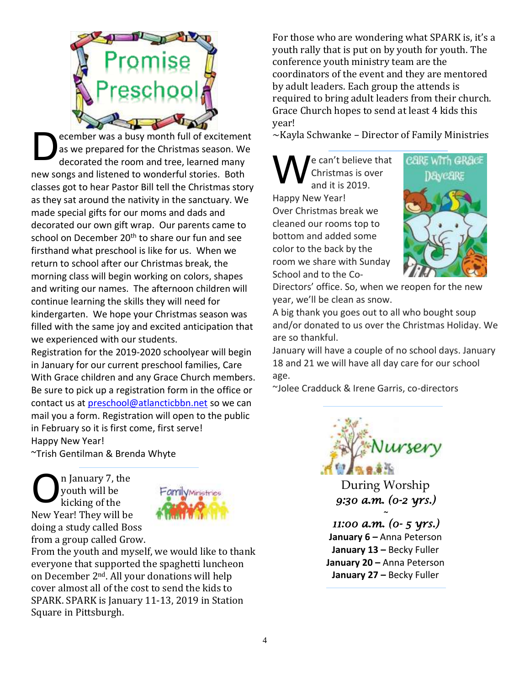

ecember was a busy month full of excitement as we prepared for the Christmas season. We decorated the room and tree, learned many new songs and listened to wonderful stories. Both classes got to hear Pastor Bill tell the Christmas story as they sat around the nativity in the sanctuary. We made special gifts for our moms and dads and decorated our own gift wrap. Our parents came to school on December 20<sup>th</sup> to share our fun and see firsthand what preschool is like for us. When we return to school after our Christmas break, the morning class will begin working on colors, shapes and writing our names. The afternoon children will continue learning the skills they will need for kindergarten. We hope your Christmas season was filled with the same joy and excited anticipation that we experienced with our students. D

Registration for the 2019-2020 schoolyear will begin in January for our current preschool families, Care With Grace children and any Grace Church members. Be sure to pick up a registration form in the office or contact us at [preschool@atlancticbbn.net](mailto:preschool@atlancticbbn.net) so we can mail you a form. Registration will open to the public in February so it is first come, first serve! Happy New Year!

~Trish Gentilman & Brenda Whyte

n January 7, the youth will be kicking of the New Year! They will be doing a study called Boss from a group called Grow. O



From the youth and myself, we would like to thank everyone that supported the spaghetti luncheon on December 2nd. All your donations will help cover almost all of the cost to send the kids to SPARK. SPARK is January 11-13, 2019 in Station Square in Pittsburgh.

For those who are wondering what SPARK is, it's a youth rally that is put on by youth for youth. The conference youth ministry team are the coordinators of the event and they are mentored by adult leaders. Each group the attends is required to bring adult leaders from their church. Grace Church hopes to send at least 4 kids this year!

 $\sim$ Kayla Schwanke – Director of Family Ministries

e can't believe that Christmas is over and it is 2019. Happy New Year! Over Christmas break we cleaned our rooms top to bottom and added some color to the back by the room we share with Sunday School and to the Co-W



Directors' office. So, when we reopen for the new year, we'll be clean as snow.

A big thank you goes out to all who bought soup and/or donated to us over the Christmas Holiday. We are so thankful.

January will have a couple of no school days. January 18 and 21 we will have all day care for our school age.

~Jolee Cradduck & Irene Garris, co-directors



During Worship *9:30 a.m. (0-2 yrs.)* 

*~* 

*11:00 a.m. (0- 5 yrs.)*  **January 6** *–* Anna Peterson **January 13 –** Becky Fuller **January 20 –** Anna Peterson **January 27 –** Becky Fuller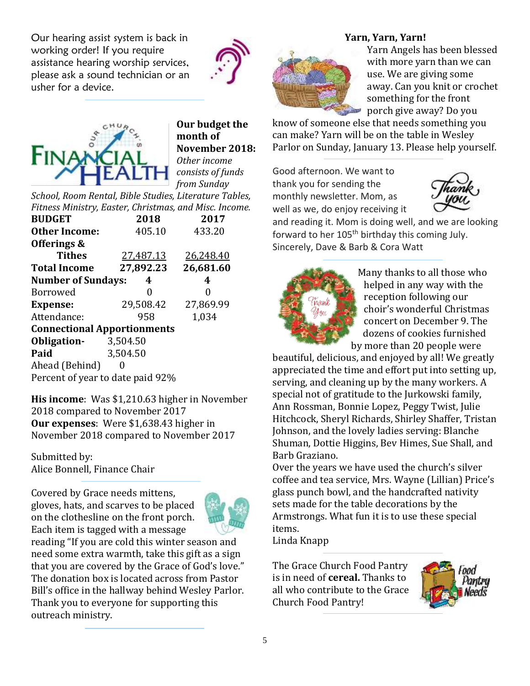Our hearing assist system is back in working order! If you require assistance hearing worship services, please ask a sound technician or an usher for a device.





**Our budget the month of November 2018:** *Other income consists of funds from Sunday* 

*School, Room Rental, Bible Studies, Literature Tables, Fitness Ministry, Easter, Christmas, and Misc. Income.*

| <b>BUDGET</b>                      | 2018      | 2017      |  |  |  |  |  |  |
|------------------------------------|-----------|-----------|--|--|--|--|--|--|
| <b>Other Income:</b>               | 405.10    | 433.20    |  |  |  |  |  |  |
| Offerings &                        |           |           |  |  |  |  |  |  |
| <b>Tithes</b>                      | 27,487.13 | 26,248.40 |  |  |  |  |  |  |
| <b>Total Income</b>                | 27,892.23 | 26,681.60 |  |  |  |  |  |  |
| <b>Number of Sundays:</b>          | 4         |           |  |  |  |  |  |  |
| <b>Borrowed</b>                    | 0         | 0         |  |  |  |  |  |  |
| <b>Expense:</b>                    | 29,508.42 | 27,869.99 |  |  |  |  |  |  |
| Attendance:                        | 958       | 1,034     |  |  |  |  |  |  |
| <b>Connectional Apportionments</b> |           |           |  |  |  |  |  |  |
| Obligation-                        | 3,504.50  |           |  |  |  |  |  |  |
| Paid                               | 3,504.50  |           |  |  |  |  |  |  |
| Ahead (Behind)                     |           |           |  |  |  |  |  |  |
| Percent of year to date paid 92%   |           |           |  |  |  |  |  |  |

**His income**: Was \$1,210.63 higher in November 2018 compared to November 2017 **Our expenses**: Were \$1,638.43 higher in November 2018 compared to November 2017

Submitted by: Alice Bonnell, Finance Chair

Covered by Grace needs mittens, gloves, hats, and scarves to be placed on the clothesline on the front porch. Each item is tagged with a message



reading "If you are cold this winter season and need some extra warmth, take this gift as a sign that you are covered by the Grace of God's love." The donation box is located across from Pastor Bill's office in the hallway behind Wesley Parlor. Thank you to everyone for supporting this outreach ministry.

#### **Yarn, Yarn, Yarn!**



Yarn Angels has been blessed with more yarn than we can use. We are giving some away. Can you knit or crochet something for the front porch give away? Do you

know of someone else that needs something you can make? Yarn will be on the table in Wesley Parlor on Sunday, January 13. Please help yourself.

Good afternoon. We want to thank you for sending the monthly newsletter. Mom, as well as we, do enjoy receiving it



and reading it. Mom is doing well, and we are looking forward to her 105<sup>th</sup> birthday this coming July. Sincerely, Dave & Barb & Cora Watt



Many thanks to all those who helped in any way with the reception following our choir's wonderful Christmas concert on December 9. The dozens of cookies furnished by more than 20 people were

beautiful, delicious, and enjoyed by all! We greatly appreciated the time and effort put into setting up, serving, and cleaning up by the many workers. A special not of gratitude to the Jurkowski family, Ann Rossman, Bonnie Lopez, Peggy Twist, Julie Hitchcock, Sheryl Richards, Shirley Shaffer, Tristan Johnson, and the lovely ladies serving: Blanche Shuman, Dottie Higgins, Bev Himes, Sue Shall, and Barb Graziano.

Over the years we have used the church's silver coffee and tea service, Mrs. Wayne (Lillian) Price's glass punch bowl, and the handcrafted nativity sets made for the table decorations by the Armstrongs. What fun it is to use these special items.

Linda Knapp

The Grace Church Food Pantry is in need of **cereal.** Thanks to all who contribute to the Grace Church Food Pantry!

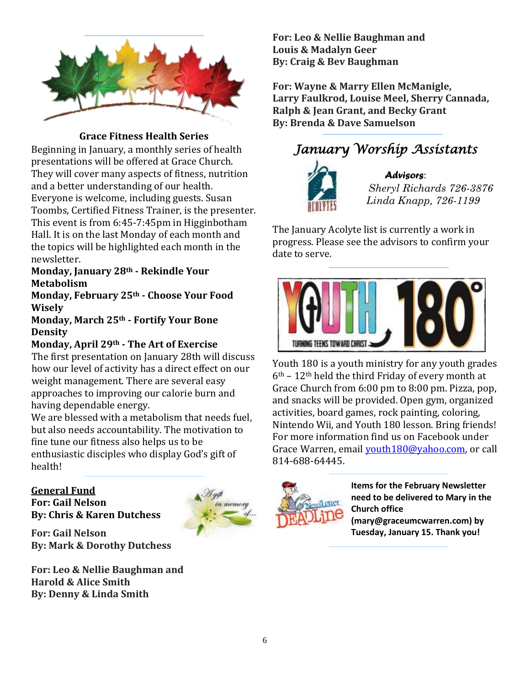

**Grace Fitness Health Series**

Beginning in January, a monthly series of health presentations will be offered at Grace Church. They will cover many aspects of fitness, nutrition and a better understanding of our health. Everyone is welcome, including guests. Susan Toombs, Certified Fitness Trainer, is the presenter. This event is from 6:45-7:45pm in Higginbotham Hall. It is on the last Monday of each month and the topics will be highlighted each month in the newsletter.

#### **Monday, January 28th - Rekindle Your Metabolism**

**Monday, February 25th - Choose Your Food Wisely** 

**Monday, March 25th - Fortify Your Bone Density** 

#### **Monday, April 29th - The Art of Exercise**

The first presentation on January 28th will discuss how our level of activity has a direct effect on our weight management. There are several easy approaches to improving our calorie burn and having dependable energy.

We are blessed with a metabolism that needs fuel, but also needs accountability. The motivation to fine tune our fitness also helps us to be enthusiastic disciples who display God's gift of health!

#### **General Fund**

**For: Gail Nelson By: Chris & Karen Dutchess**



**For: Gail Nelson**

**For: Leo & Nellie Baughman and Harold & Alice Smith**

**By: Denny & Linda Smith**

**By: Mark & Dorothy Dutchess**

**For: Leo & Nellie Baughman and Louis & Madalyn Geer By: Craig & Bev Baughman**

**For: Wayne & Marry Ellen McManigle, Larry Faulkrod, Louise Meel, Sherry Cannada, Ralph & Jean Grant, and Becky Grant By: Brenda & Dave Samuelson**





#### *Advisors*:

 *Sheryl Richards 726-3876 Linda Knapp, 726-1199*

The January Acolyte list is currently a work in progress. Please see the advisors to confirm your date to serve.



Youth 180 is a youth ministry for any youth grades  $6<sup>th</sup>$  – 12<sup>th</sup> held the third Friday of every month at Grace Church from 6:00 pm to 8:00 pm. Pizza, pop, and snacks will be provided. Open gym, organized activities, board games, rock painting, coloring, Nintendo Wii, and Youth 180 lesson. Bring friends! For more information find us on Facebook under Grace Warren, email [youth180@yahoo.com,](mailto:youth180@yahoo.com) or call 814-688-64445.



**Items for the February Newsletter need to be delivered to Mary in the Church office (mary@graceumcwarren.com) by Tuesday, January 15. Thank you!**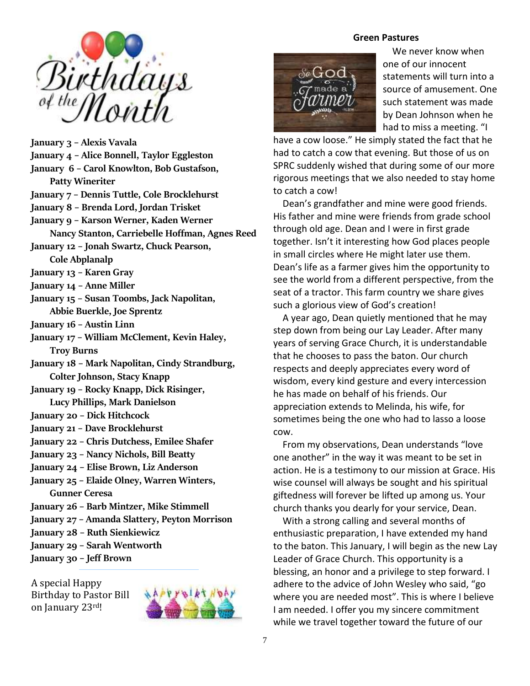

**January 3 – Alexis Vavala January 4 – Alice Bonnell, Taylor Eggleston January 6 – Carol Knowlton, Bob Gustafson, Patty Wineriter January 7 – Dennis Tuttle, Cole Brocklehurst January 8 – Brenda Lord, Jordan Trisket January 9 – Karson Werner, Kaden Werner Nancy Stanton, Carriebelle Hoffman, Agnes Reed January 12 – Jonah Swartz, Chuck Pearson, Cole Abplanalp January 13 – Karen Gray January 14 – Anne Miller January 15 – Susan Toombs, Jack Napolitan, Abbie Buerkle, Joe Sprentz January 16 – Austin Linn January 17 – William McClement, Kevin Haley, Troy Burns January 18 – Mark Napolitan, Cindy Strandburg, Colter Johnson, Stacy Knapp January 19 – Rocky Knapp, Dick Risinger, Lucy Phillips, Mark Danielson January 20 – Dick Hitchcock January 21 – Dave Brocklehurst January 22 – Chris Dutchess, Emilee Shafer January 23 – Nancy Nichols, Bill Beatty January 24 – Elise Brown, Liz Anderson January 25 – Elaide Olney, Warren Winters, Gunner Ceresa January 26 – Barb Mintzer, Mike Stimmell January 27 – Amanda Slattery, Peyton Morrison January 28 – Ruth Sienkiewicz January 29 – Sarah Wentworth January 30 – Jeff Brown**

A special Happy Birthday to Pastor Bill on January 23rd!



#### **Green Pastures**



 We never know when one of our innocent statements will turn into a source of amusement. One such statement was made by Dean Johnson when he had to miss a meeting. "I

have a cow loose." He simply stated the fact that he had to catch a cow that evening. But those of us on SPRC suddenly wished that during some of our more rigorous meetings that we also needed to stay home to catch a cow!

 Dean's grandfather and mine were good friends. His father and mine were friends from grade school through old age. Dean and I were in first grade together. Isn't it interesting how God places people in small circles where He might later use them. Dean's life as a farmer gives him the opportunity to see the world from a different perspective, from the seat of a tractor. This farm country we share gives such a glorious view of God's creation!

 A year ago, Dean quietly mentioned that he may step down from being our Lay Leader. After many years of serving Grace Church, it is understandable that he chooses to pass the baton. Our church respects and deeply appreciates every word of wisdom, every kind gesture and every intercession he has made on behalf of his friends. Our appreciation extends to Melinda, his wife, for sometimes being the one who had to lasso a loose cow.

 From my observations, Dean understands "love one another" in the way it was meant to be set in action. He is a testimony to our mission at Grace. His wise counsel will always be sought and his spiritual giftedness will forever be lifted up among us. Your church thanks you dearly for your service, Dean.

 With a strong calling and several months of enthusiastic preparation, I have extended my hand to the baton. This January, I will begin as the new Lay Leader of Grace Church. This opportunity is a blessing, an honor and a privilege to step forward. I adhere to the advice of John Wesley who said, "go where you are needed most". This is where I believe I am needed. I offer you my sincere commitment while we travel together toward the future of our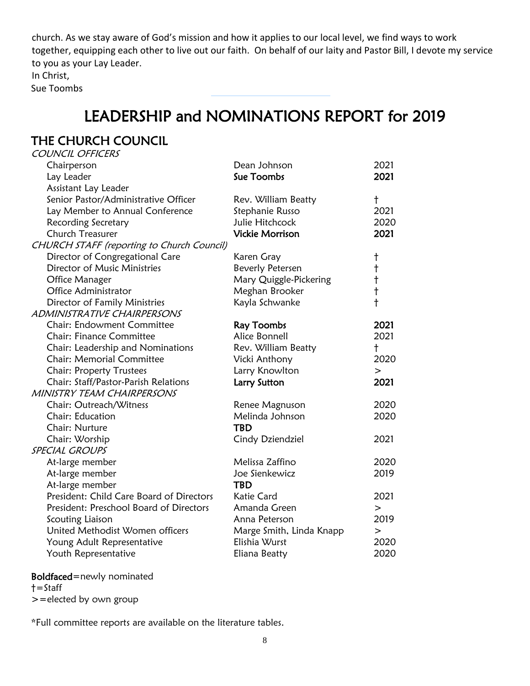church. As we stay aware of God's mission and how it applies to our local level, we find ways to work together, equipping each other to live out our faith. On behalf of our laity and Pastor Bill, I devote my service to you as your Lay Leader.

In Christ,

Sue Toombs

# LEADERSHIP and NOMINATIONS REPORT for 2019

#### THE CHURCH COUNCIL COUNCIL OFFICERS

| COUNCIL OFFICLAS                                  |                          |            |
|---------------------------------------------------|--------------------------|------------|
| Chairperson                                       | Dean Johnson             | 2021       |
| Lay Leader                                        | Sue Toombs               | 2021       |
| Assistant Lay Leader                              |                          |            |
| Senior Pastor/Administrative Officer              | Rev. William Beatty      | t          |
| Lay Member to Annual Conference                   | Stephanie Russo          | 2021       |
| Recording Secretary                               | Julie Hitchcock          | 2020       |
| <b>Church Treasurer</b>                           | <b>Vickie Morrison</b>   | 2021       |
| <b>CHURCH STAFF</b> (reporting to Church Council) |                          |            |
| Director of Congregational Care                   | Karen Gray               | $\dagger$  |
| Director of Music Ministries                      | Beverly Petersen         | $\ddagger$ |
| Office Manager                                    | Mary Quiggle-Pickering   | $\ddagger$ |
| Office Administrator                              | Meghan Brooker           | $\ddagger$ |
| Director of Family Ministries                     | Kayla Schwanke           | $\ddagger$ |
| ADMINISTRATIVE CHAIRPERSONS                       |                          |            |
| <b>Chair: Endowment Committee</b>                 | <b>Ray Toombs</b>        | 2021       |
| <b>Chair: Finance Committee</b>                   | Alice Bonnell            | 2021       |
| Chair: Leadership and Nominations                 | Rev. William Beatty      | $\ddagger$ |
| <b>Chair: Memorial Committee</b>                  | Vicki Anthony            | 2020       |
| <b>Chair: Property Trustees</b>                   | Larry Knowlton           | $\,>$      |
| Chair: Staff/Pastor-Parish Relations              | Larry Sutton             | 2021       |
| MINISTRY TEAM CHAIRPERSONS                        |                          |            |
| Chair: Outreach/Witness                           | Renee Magnuson           | 2020       |
| Chair: Education                                  | Melinda Johnson          | 2020       |
| Chair: Nurture                                    | <b>TBD</b>               |            |
| Chair: Worship                                    | Cindy Dziendziel         | 2021       |
| <b>SPECIAL GROUPS</b>                             |                          |            |
| At-large member                                   | Melissa Zaffino          | 2020       |
| At-large member                                   | Joe Sienkewicz           | 2019       |
| At-large member                                   | <b>TBD</b>               |            |
| President: Child Care Board of Directors          | Katie Card               | 2021       |
| President: Preschool Board of Directors           | Amanda Green             | $\rm{>}$   |
| Scouting Liaison                                  | Anna Peterson            | 2019       |
| United Methodist Women officers                   | Marge Smith, Linda Knapp | $\,>$      |
| Young Adult Representative                        | Elishia Wurst            | 2020       |
| Youth Representative                              | Eliana Beatty            | 2020       |

#### Boldfaced=newly nominated

†=Staff

>=elected by own group

\*Full committee reports are available on the literature tables.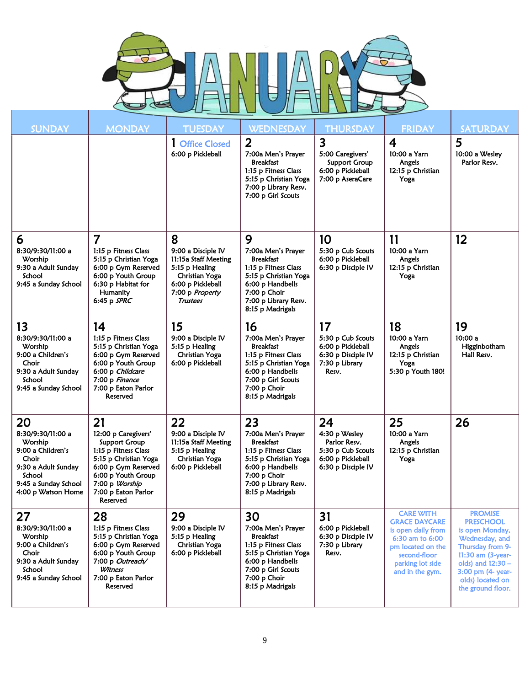

| <b>SUNDAY</b>                                                                                                                                   | <b>MONDAY</b>                                                                                                                                                                                        | <b>TUESDAY</b>                                                                                                                                 | <b>WEDNESDAY</b>                                                                                                                                                              | <b>THURSDAY</b>                                                                                     | <b>FRIDAY</b>                                                                                                                                                 | <b>SATURDAY</b>                                                                                                                                                                                     |
|-------------------------------------------------------------------------------------------------------------------------------------------------|------------------------------------------------------------------------------------------------------------------------------------------------------------------------------------------------------|------------------------------------------------------------------------------------------------------------------------------------------------|-------------------------------------------------------------------------------------------------------------------------------------------------------------------------------|-----------------------------------------------------------------------------------------------------|---------------------------------------------------------------------------------------------------------------------------------------------------------------|-----------------------------------------------------------------------------------------------------------------------------------------------------------------------------------------------------|
|                                                                                                                                                 |                                                                                                                                                                                                      | 1 Office Closed<br>6:00 p Pickleball                                                                                                           | $\overline{2}$<br>7:00a Men's Prayer<br><b>Breakfast</b><br>1:15 p Fitness Class<br>5:15 p Christian Yoga<br>7:00 p Library Resv.<br>7:00 p Girl Scouts                       | 3<br>5:00 Caregivers'<br><b>Support Group</b><br>6:00 p Pickleball<br>7:00 p AseraCare              | 4<br>10:00 a Yarn<br>Angels<br>12:15 p Christian<br>Yoga                                                                                                      | 5<br>10:00 a Wesley<br>Parlor Resv.                                                                                                                                                                 |
| 6<br>8:30/9:30/11:00 a<br>Worship<br>9:30 a Adult Sunday<br>School<br>9:45 a Sunday School                                                      | 7<br>1:15 p Fitness Class<br>5:15 p Christian Yoga<br>6:00 p Gym Reserved<br>6:00 p Youth Group<br>6:30 p Habitat for<br>Humanity<br>6:45 p $SPRC$                                                   | 8<br>9:00 a Disciple IV<br>11:15a Staff Meeting<br>5:15 p Healing<br>Christian Yoga<br>6:00 p Pickleball<br>7:00 p Property<br><b>Trustees</b> | 9<br>7:00a Men's Prayer<br>Breakfast<br>1:15 p Fitness Class<br>5:15 p Christian Yoga<br>6:00 p Handbells<br>7:00 p Choir<br>7:00 p Library Resv.<br>8:15 p Madrigals         | 10<br>5:30 p Cub Scouts<br>6:00 p Pickleball<br>6:30 p Disciple IV                                  | 11<br>10:00 a Yarn<br>Angels<br>12:15 p Christian<br>Yoga                                                                                                     | 12                                                                                                                                                                                                  |
| 13<br>8:30/9:30/11:00 a<br>Worship<br>9:00 a Children's<br>Choir<br>9:30 a Adult Sunday<br>School<br>9:45 a Sunday School                       | 14<br>1:15 p Fitness Class<br>5:15 p Christian Yoga<br>6:00 p Gym Reserved<br>6:00 p Youth Group<br>6:00 p Childcare<br>7:00 p Finance<br>7:00 p Eaton Parlor<br>Reserved                            | 15<br>9:00 a Disciple IV<br>5:15 p Healing<br>Christian Yoga<br>6:00 p Pickleball                                                              | 16<br>7:00a Men's Prayer<br><b>Breakfast</b><br>1:15 p Fitness Class<br>5:15 p Christian Yoga<br>6:00 p Handbells<br>7:00 p Girl Scouts<br>7:00 p Choir<br>8:15 p Madrigals   | 17<br>5:30 p Cub Scouts<br>6:00 p Pickleball<br>6:30 p Disciple IV<br>7:30 p Library<br>Resv.       | 18<br>10:00 a Yarn<br>Angels<br>12:15 p Christian<br>Yoga<br>5:30 p Youth 180!                                                                                | 19<br>10:00 a<br>Higginbotham<br>Hall Resv.                                                                                                                                                         |
| 20<br>8:30/9:30/11:00 a<br>Worship<br>9:00 a Children's<br>Choir<br>9:30 a Adult Sunday<br>School<br>9:45 a Sunday School<br>4:00 p Watson Home | 21<br>12:00 p Caregivers'<br><b>Support Group</b><br>1:15 p Fitness Class<br>5:15 p Christian Yoga<br>6:00 p Gym Reserved<br>6:00 p Youth Group<br>7:00 p Worship<br>7:00 p Eaton Parlor<br>Reserved | 22<br>9:00 a Disciple IV<br>11:15a Staff Meeting<br>5:15 p Healing<br>Christian Yoga<br>6:00 p Pickleball                                      | 23<br>7:00a Men's Prayer<br><b>Breakfast</b><br>1:15 p Fitness Class<br>5:15 p Christian Yoga<br>6:00 p Handbells<br>7:00 p Choir<br>7:00 p Library Resv.<br>8:15 p Madrigals | 24<br>4:30 p Wesley<br>Parlor Resv.<br>5:30 p Cub Scouts<br>6:00 p Pickleball<br>6:30 p Disciple IV | 25<br>10:00 a Yarn<br>Angels<br>12:15 p Christian<br>Yoga                                                                                                     | 26                                                                                                                                                                                                  |
| 27<br>8:30/9:30/11:00 a<br>Worship<br>9:00 a Children's<br>Choir<br>9:30 a Adult Sunday<br>School<br>9:45 a Sunday School                       | 28<br>1:15 p Fitness Class<br>5:15 p Christian Yoga<br>6:00 p Gym Reserved<br>6:00 p Youth Group<br>7:00 p Outreach/<br>Witness<br>7:00 p Eaton Parlor<br>Reserved                                   | 29<br>9:00 a Disciple IV<br>5:15 p Healing<br>Christian Yoga<br>6:00 p Pickleball                                                              | 30<br>7:00a Men's Prayer<br><b>Breakfast</b><br>1:15 p Fitness Class<br>5:15 p Christian Yoga<br>6:00 p Handbells<br>7:00 p Girl Scouts<br>7:00 p Choir<br>8:15 p Madrigals   | 31<br>6:00 p Pickleball<br>6:30 p Disciple IV<br>7:30 p Library<br>Resv.                            | <b>CARE WITH</b><br><b>GRACE DAYCARE</b><br>is open daily from<br>6:30 am to 6:00<br>pm located on the<br>second-floor<br>parking lot side<br>and in the gym. | <b>PROMISE</b><br><b>PRESCHOOL</b><br>is open Monday,<br>Wednesday, and<br>Thursday from 9-<br>11:30 am (3-year-<br>olds) and 12:30 -<br>3:00 pm (4- year-<br>olds) located on<br>the ground floor. |